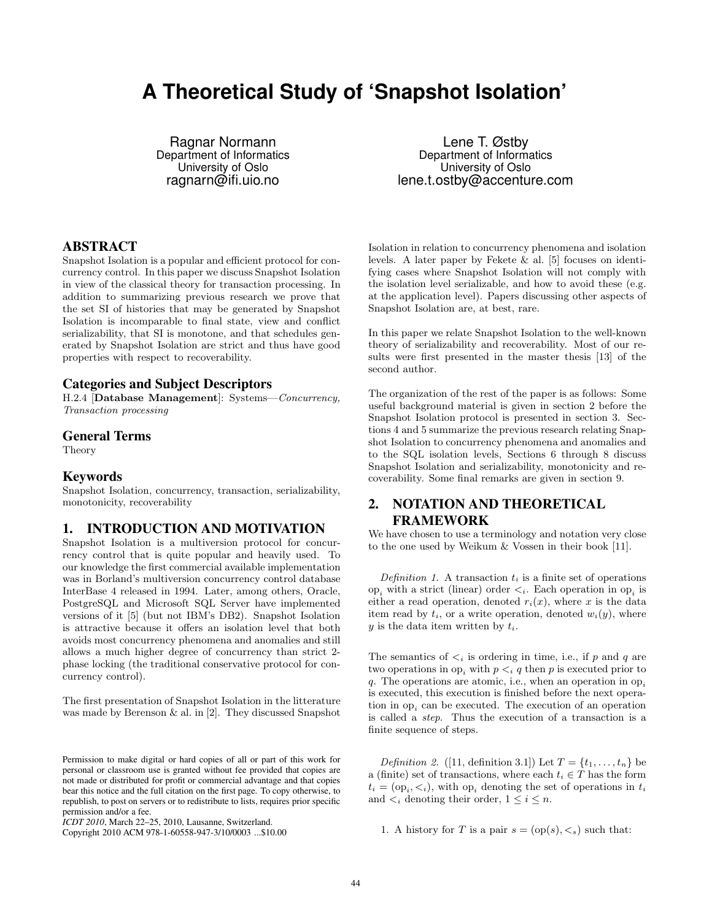# **A Theoretical Study of 'Snapshot Isolation'**

Ragnar Normann Department of Informatics University of Oslo ragnarn@ifi.uio.no

Lene T. Østby Department of Informatics University of Oslo lene.t.ostby@accenture.com

# ABSTRACT

Snapshot Isolation is a popular and efficient protocol for concurrency control. In this paper we discuss Snapshot Isolation in view of the classical theory for transaction processing. In addition to summarizing previous research we prove that the set SI of histories that may be generated by Snapshot Isolation is incomparable to final state, view and conflict serializability, that SI is monotone, and that schedules generated by Snapshot Isolation are strict and thus have good properties with respect to recoverability.

## Categories and Subject Descriptors

H.2.4 [Database Management]: Systems—Concurrency, Transaction processing

# General Terms

Theory

# Keywords

Snapshot Isolation, concurrency, transaction, serializability, monotonicity, recoverability

# 1. INTRODUCTION AND MOTIVATION

Snapshot Isolation is a multiversion protocol for concurrency control that is quite popular and heavily used. To our knowledge the first commercial available implementation was in Borland's multiversion concurrency control database InterBase 4 released in 1994. Later, among others, Oracle, PostgreSQL and Microsoft SQL Server have implemented versions of it [5] (but not IBM's DB2). Snapshot Isolation is attractive because it offers an isolation level that both avoids most concurrency phenomena and anomalies and still allows a much higher degree of concurrency than strict 2 phase locking (the traditional conservative protocol for concurrency control).

The first presentation of Snapshot Isolation in the litterature was made by Berenson & al. in [2]. They discussed Snapshot

Copyright 2010 ACM 978-1-60558-947-3/10/0003 ...\$10.00

Isolation in relation to concurrency phenomena and isolation levels. A later paper by Fekete & al. [5] focuses on identifying cases where Snapshot Isolation will not comply with the isolation level serializable, and how to avoid these (e.g. at the application level). Papers discussing other aspects of Snapshot Isolation are, at best, rare.

In this paper we relate Snapshot Isolation to the well-known theory of serializability and recoverability. Most of our results were first presented in the master thesis [13] of the second author.

The organization of the rest of the paper is as follows: Some useful background material is given in section 2 before the Snapshot Isolation protocol is presented in section 3. Sections 4 and 5 summarize the previous research relating Snapshot Isolation to concurrency phenomena and anomalies and to the SQL isolation levels, Sections 6 through 8 discuss Snapshot Isolation and serializability, monotonicity and recoverability. Some final remarks are given in section 9.

# 2. NOTATION AND THEORETICAL FRAMEWORK

We have chosen to use a terminology and notation very close to the one used by Weikum & Vossen in their book [11].

Definition 1. A transaction  $t_i$  is a finite set of operations op<sub>i</sub> with a strict (linear) order  $\lt_i$ . Each operation in op<sub>i</sub> is either a read operation, denoted  $r_i(x)$ , where x is the data item read by  $t_i$ , or a write operation, denoted  $w_i(y)$ , where  $y$  is the data item written by  $t_i$ .

The semantics of  $\lt_i$  is ordering in time, i.e., if p and q are two operations in  $op_i$  with  $p \lt_i q$  then p is executed prior to q. The operations are atomic, i.e., when an operation in  $op_i$ is executed, this execution is finished before the next operation in  $op_i$  can be executed. The execution of an operation is called a step. Thus the execution of a transaction is a finite sequence of steps.

Definition 2. ([11, definition 3.1]) Let  $T = \{t_1, \ldots, t_n\}$  be a (finite) set of transactions, where each  $t_i \in T$  has the form  $t_i = (op_i, <_i)$ , with  $op_i$  denoting the set of operations in  $t_i$ and  $\lt_i$  denoting their order,  $1 \leq i \leq n$ .

1. A history for T is a pair  $s = (op(s), \leq_s)$  such that:

Permission to make digital or hard copies of all or part of this work for personal or classroom use is granted without fee provided that copies are not made or distributed for profit or commercial advantage and that copies bear this notice and the full citation on the first page. To copy otherwise, to republish, to post on servers or to redistribute to lists, requires prior specific permission and/or a fee.

*ICDT 2010*, March 22–25, 2010, Lausanne, Switzerland.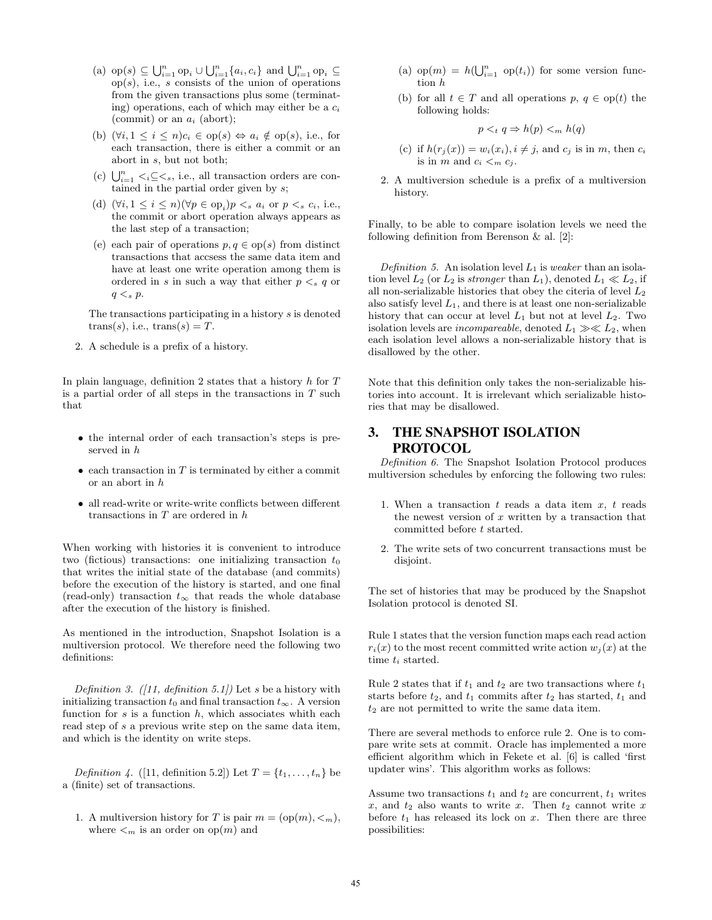- (a)  $op(s) \subseteq \bigcup_{i=1}^{n} op_i \cup \bigcup_{i=1}^{n} \{a_i, c_i\}$  and  $\bigcup_{i=1}^{n} op_i \subseteq$  $op(s)$ , i.e., s consists of the union of operations from the given transactions plus some (terminating) operations, each of which may either be a  $c_i$ (commit) or an  $a_i$  (abort);
- (b)  $(\forall i, 1 \leq i \leq n)c_i \in op(s) \Leftrightarrow a_i \notin op(s)$ , i.e., for each transaction, there is either a commit or an abort in s, but not both;
- (c)  $\bigcup_{i=1}^n \langle i \subseteq \langle s, i.e., \text{ all transaction orders are con-} \rangle$ tained in the partial order given by s;
- (d)  $(\forall i, 1 \leq i \leq n)(\forall p \in \text{op}_i)p \lt_s a_i \text{ or } p \lt_s c_i, \text{ i.e., }$ the commit or abort operation always appears as the last step of a transaction;
- (e) each pair of operations  $p, q \in \text{op}(s)$  from distinct transactions that accsess the same data item and have at least one write operation among them is ordered in s in such a way that either  $p \lt s q$  or  $q \lt_s p$ .

The transactions participating in a history s is denoted  $trans(s)$ , i.e.,  $trans(s) = T$ .

2. A schedule is a prefix of a history.

In plain language, definition 2 states that a history  $h$  for  $T$ is a partial order of all steps in the transactions in  $T$  such that

- the internal order of each transaction's steps is preserved in h
- $\bullet$  each transaction in  $T$  is terminated by either a commit or an abort in h
- all read-write or write-write conflicts between different transactions in  $T$  are ordered in  $h$

When working with histories it is convenient to introduce two (fictious) transactions: one initializing transaction  $t_0$ that writes the initial state of the database (and commits) before the execution of the history is started, and one final (read-only) transaction  $t_{\infty}$  that reads the whole database after the execution of the history is finished.

As mentioned in the introduction, Snapshot Isolation is a multiversion protocol. We therefore need the following two definitions:

Definition 3. ([11, definition 5.1]) Let s be a history with initializing transaction  $t_0$  and final transaction  $t_{\infty}$ . A version function for  $s$  is a function  $h$ , which associates whith each read step of s a previous write step on the same data item, and which is the identity on write steps.

Definition 4. ([11, definition 5.2]) Let  $T = \{t_1, \ldots, t_n\}$  be a (finite) set of transactions.

1. A multiversion history for T is pair  $m = (op(m), <sub>m</sub>),$ where  $\lt_m$  is an order on  $op(m)$  and

- (a)  $op(m) = h(\bigcup_{i=1}^n op(t_i))$  for some version function h
- (b) for all  $t \in T$  and all operations  $p, q \in op(t)$  the following holds:

$$
p <_t q \Rightarrow h(p) <_m h(q)
$$

- (c) if  $h(r_i(x)) = w_i(x_i), i \neq j$ , and  $c_i$  is in m, then  $c_i$ is in m and  $c_i <_m c_j$ .
- 2. A multiversion schedule is a prefix of a multiversion history.

Finally, to be able to compare isolation levels we need the following definition from Berenson & al. [2]:

Definition 5. An isolation level  $L_1$  is weaker than an isolation level  $L_2$  (or  $L_2$  is stronger than  $L_1$ ), denoted  $L_1 \ll L_2$ , if all non-serializable histories that obey the citeria of level  $L_2$ also satisfy level  $L_1$ , and there is at least one non-serializable history that can occur at level  $L_1$  but not at level  $L_2$ . Two isolation levels are *incompareable*, denoted  $L_1 \gg L_2$ , when each isolation level allows a non-serializable history that is disallowed by the other.

Note that this definition only takes the non-serializable histories into account. It is irrelevant which serializable histories that may be disallowed.

# 3. THE SNAPSHOT ISOLATION PROTOCOL

Definition 6. The Snapshot Isolation Protocol produces multiversion schedules by enforcing the following two rules:

- 1. When a transaction  $t$  reads a data item  $x$ ,  $t$  reads the newest version of  $x$  written by a transaction that committed before t started.
- 2. The write sets of two concurrent transactions must be disjoint.

The set of histories that may be produced by the Snapshot Isolation protocol is denoted SI.

Rule 1 states that the version function maps each read action  $r_i(x)$  to the most recent committed write action  $w_i(x)$  at the time  $t_i$  started.

Rule 2 states that if  $t_1$  and  $t_2$  are two transactions where  $t_1$ starts before  $t_2$ , and  $t_1$  commits after  $t_2$  has started,  $t_1$  and  $t_2$  are not permitted to write the same data item.

There are several methods to enforce rule 2. One is to compare write sets at commit. Oracle has implemented a more efficient algorithm which in Fekete et al. [6] is called 'first updater wins'. This algorithm works as follows:

Assume two transactions  $t_1$  and  $t_2$  are concurrent,  $t_1$  writes  $x$ , and  $t_2$  also wants to write x. Then  $t_2$  cannot write x before  $t_1$  has released its lock on  $x$ . Then there are three possibilities: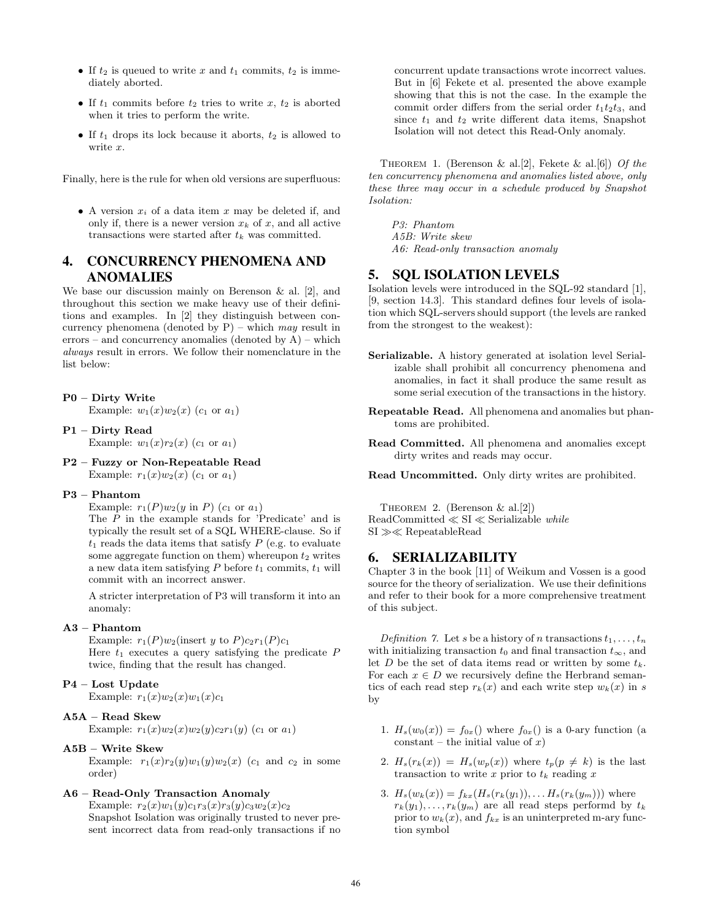- If  $t_2$  is queued to write x and  $t_1$  commits,  $t_2$  is immediately aborted.
- If  $t_1$  commits before  $t_2$  tries to write  $x, t_2$  is aborted when it tries to perform the write.
- If  $t_1$  drops its lock because it aborts,  $t_2$  is allowed to write x.

Finally, here is the rule for when old versions are superfluous:

• A version  $x_i$  of a data item  $x$  may be deleted if, and only if, there is a newer version  $x_k$  of x, and all active transactions were started after  $t_k$  was committed.

# 4. CONCURRENCY PHENOMENA AND ANOMALIES

We base our discussion mainly on Berenson & al. [2], and throughout this section we make heavy use of their definitions and examples. In [2] they distinguish between concurrency phenomena (denoted by  $P$ ) – which may result in errors – and concurrency anomalies (denoted by  $A$ ) – which always result in errors. We follow their nomenclature in the list below:

#### P0 – Dirty Write

Example:  $w_1(x)w_2(x)$  (c<sub>1</sub> or  $a_1$ )

- P1 Dirty Read Example:  $w_1(x)r_2(x)$  (c<sub>1</sub> or  $a_1$ )
- P2 Fuzzy or Non-Repeatable Read Example:  $r_1(x)w_2(x)$  ( $c_1$  or  $a_1$ )

#### P3 – Phantom

Example:  $r_1(P)w_2(y \text{ in } P)(c_1 \text{ or } a_1)$ 

The P in the example stands for 'Predicate' and is typically the result set of a SQL WHERE-clause. So if  $t_1$  reads the data items that satisfy  $P$  (e.g. to evaluate some aggregate function on them) whereupon  $t_2$  writes a new data item satisfying  $P$  before  $t_1$  commits,  $t_1$  will commit with an incorrect answer.

A stricter interpretation of P3 will transform it into an anomaly:

#### A3 – Phantom

Example:  $r_1(P)w_2$ (insert y to  $P)c_2r_1(P)c_1$ Here  $t_1$  executes a query satisfying the predicate  $P$ twice, finding that the result has changed.

#### P4 – Lost Update

Example:  $r_1(x)w_2(x)w_1(x)c_1$ 

#### A5A – Read Skew

Example:  $r_1(x)w_2(x)w_2(y)c_2r_1(y)$  (c<sub>1</sub> or a<sub>1</sub>)

#### A5B – Write Skew

Example:  $r_1(x)r_2(y)w_1(y)w_2(x)$  ( $c_1$  and  $c_2$  in some order)

## A6 – Read-Only Transaction Anomaly

Example:  $r_2(x)w_1(y)c_1r_3(x)r_3(y)c_3w_2(x)c_2$ Snapshot Isolation was originally trusted to never present incorrect data from read-only transactions if no concurrent update transactions wrote incorrect values. But in [6] Fekete et al. presented the above example showing that this is not the case. In the example the commit order differs from the serial order  $t_1t_2t_3$ , and since  $t_1$  and  $t_2$  write different data items, Snapshot Isolation will not detect this Read-Only anomaly.

THEOREM 1. (Berenson & al.[2], Fekete & al.[6]) Of the ten concurrency phenomena and anomalies listed above, only these three may occur in a schedule produced by Snapshot Isolation:

P3: Phantom A5B: Write skew A6: Read-only transaction anomaly

# 5. SQL ISOLATION LEVELS

Isolation levels were introduced in the SQL-92 standard [1], [9, section 14.3]. This standard defines four levels of isolation which SQL-servers should support (the levels are ranked from the strongest to the weakest):

- Serializable. A history generated at isolation level Serializable shall prohibit all concurrency phenomena and anomalies, in fact it shall produce the same result as some serial execution of the transactions in the history.
- Repeatable Read. All phenomena and anomalies but phantoms are prohibited.
- Read Committed. All phenomena and anomalies except dirty writes and reads may occur.

Read Uncommitted. Only dirty writes are prohibited.

THEOREM 2. (Berenson  $\&$  al. [2]) ReadCommitted ≪ SI ≪ Serializable while SI ≫≪ RepeatableRead

#### 6. SERIALIZABILITY

Chapter 3 in the book [11] of Weikum and Vossen is a good source for the theory of serialization. We use their definitions and refer to their book for a more comprehensive treatment of this subject.

Definition 7. Let s be a history of n transactions  $t_1, \ldots, t_n$ with initializing transaction  $t_0$  and final transaction  $t_{\infty}$ , and let  $D$  be the set of data items read or written by some  $t_k$ . For each  $x \in D$  we recursively define the Herbrand semantics of each read step  $r_k(x)$  and each write step  $w_k(x)$  in s by

- 1.  $H_s(w_0(x)) = f_{0x}$  where  $f_{0x}$  is a 0-ary function (a constant – the initial value of  $x$ )
- 2.  $H_s(r_k(x)) = H_s(w_p(x))$  where  $t_p(p \neq k)$  is the last transaction to write x prior to  $t_k$  reading x
- 3.  $H_s(w_k(x)) = f_{kx}(H_s(r_k(y_1)), \ldots H_s(r_k(y_m)))$  where  $r_k(y_1), \ldots, r_k(y_m)$  are all read steps performd by  $t_k$ prior to  $w_k(x)$ , and  $f_{kx}$  is an uninterpreted m-ary function symbol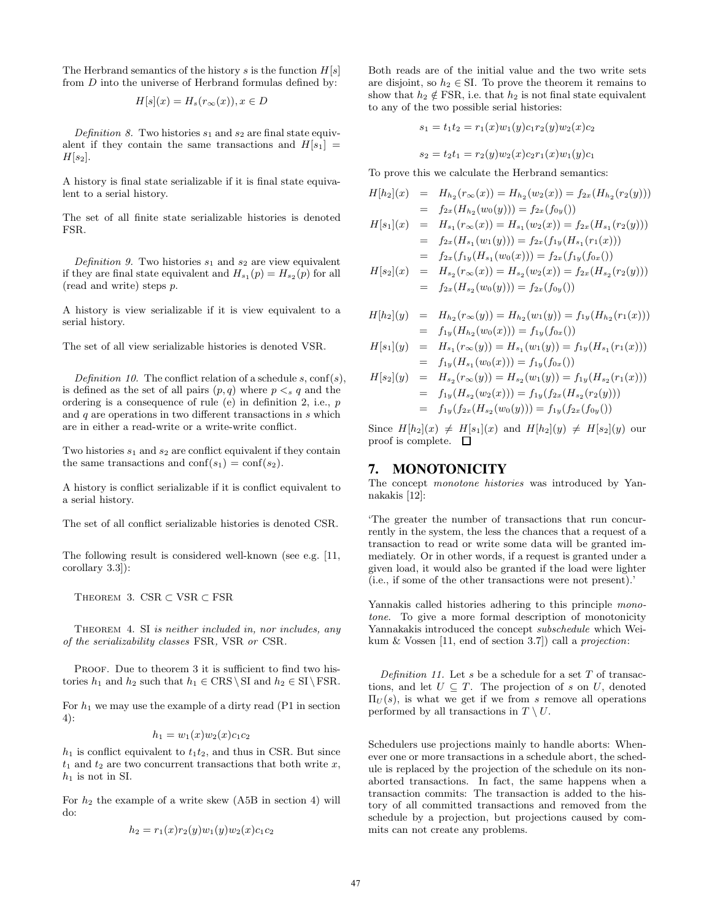The Herbrand semantics of the history s is the function  $H[s]$ from D into the universe of Herbrand formulas defined by:

$$
H[s](x) = H_s(r_\infty(x)), x \in D
$$

Definition 8. Two histories  $s_1$  and  $s_2$  are final state equivalent if they contain the same transactions and  $H[s_1] =$  $H[s_2]$ .

A history is final state serializable if it is final state equivalent to a serial history.

The set of all finite state serializable histories is denoted FSR.

Definition 9. Two histories  $s_1$  and  $s_2$  are view equivalent if they are final state equivalent and  $H_{s_1}(p) = H_{s_2}(p)$  for all (read and write) steps p.

A history is view serializable if it is view equivalent to a serial history.

The set of all view serializable histories is denoted VSR.

Definition 10. The conflict relation of a schedule s,  $conf(s)$ , is defined as the set of all pairs  $(p, q)$  where  $p \leq s q$  and the ordering is a consequence of rule (e) in definition 2, i.e., p and  $q$  are operations in two different transactions in  $s$  which are in either a read-write or a write-write conflict.

Two histories  $s_1$  and  $s_2$  are conflict equivalent if they contain the same transactions and  $conf(s_1) = conf(s_2)$ .

A history is conflict serializable if it is conflict equivalent to a serial history.

The set of all conflict serializable histories is denoted CSR.

The following result is considered well-known (see e.g. [11, corollary 3.3]):

THEOREM 3. CSR  $\subset$  VSR  $\subset$  FSR

THEOREM 4. SI is neither included in, nor includes, any of the serializability classes FSR, VSR or CSR.

PROOF. Due to theorem 3 it is sufficient to find two histories  $h_1$  and  $h_2$  such that  $h_1 \in \text{CRS} \setminus \text{SI}$  and  $h_2 \in \text{SI} \setminus \text{FSR}$ .

For  $h_1$  we may use the example of a dirty read (P1 in section 4):

$$
h_1 = w_1(x)w_2(x)c_1c_2
$$

 $h_1$  is conflict equivalent to  $t_1t_2$ , and thus in CSR. But since  $t_1$  and  $t_2$  are two concurrent transactions that both write x,  $h_1$  is not in SI.

For  $h_2$  the example of a write skew (A5B in section 4) will do:

$$
h_2 = r_1(x)r_2(y)w_1(y)w_2(x)c_1c_2
$$

Both reads are of the initial value and the two write sets are disjoint, so  $h_2 \in \text{SI}$ . To prove the theorem it remains to show that  $h_2 \notin \text{FSR}$ , i.e. that  $h_2$  is not final state equivalent to any of the two possible serial histories:

$$
s_1 = t_1 t_2 = r_1(x) w_1(y) c_1 r_2(y) w_2(x) c_2
$$

$$
s_2 = t_2 t_1 = r_2(y) w_2(x) c_2 r_1(x) w_1(y) c_1
$$

To prove this we calculate the Herbrand semantics:

$$
H[h_2](x) = H_{h_2}(r_{\infty}(x)) = H_{h_2}(w_2(x)) = f_{2x}(H_{h_2}(r_2(y)))
$$
  
=  $f_{2x}(H_{h_2}(w_0(y))) = f_{2x}(f_{0y}())$ 

$$
H[s_1](x) = H_{s_1}(r_{\infty}(x)) = H_{s_1}(w_2(x)) = f_{2x}(H_{s_1}(r_2(y)))
$$
  
=  $f_{2x}(H_{s_1}(w_1(y))) = f_{2x}(f_{1y}(H_{s_1}(r_1(x)))$   
=  $f_{2x}(f_{1y}(H_{s_1}(w_0(x))) = f_{2x}(f_{1y}(f_{0x}))$ 

$$
H[s_2](x) = H_{s_2}(r_{\infty}(x)) = H_{s_2}(w_2(x)) = f_{2x}(H_{s_2}(r_2(y)))
$$
  
=  $f_{2x}(H_{s_2}(w_0(y))) = f_{2x}(f_{0y}(y))$ 

$$
H[h_2](y) = H_{h_2}(r_{\infty}(y)) = H_{h_2}(w_1(y)) = f_{1y}(H_{h_2}(r_1(x)))
$$
  
=  $f_{1y}(H_{h_2}(w_0(x))) = f_{1y}(f_{0x}())$ 

$$
H[s_1](y) = H_{s_1}(r_{\infty}(y)) = H_{s_1}(w_1(y)) = f_{1y}(H_{s_1}(r_1(x)))
$$
  
=  $f_{1y}(H_{s_1}(w_0(x))) = f_{1y}(f_{0x}(x))$ 

$$
H[s_2](y) = H_{s_2}(r_{\infty}(y)) = H_{s_2}(w_1(y)) = f_{1y}(H_{s_2}(r_1(x)))
$$
  
=  $f_{1y}(H_{s_2}(w_2(x))) = f_{1y}(f_{2x}(H_{s_2}(r_2(y)))$   
=  $f_{1y}(f_{2x}(H_{s_2}(w_0(y))) = f_{1y}(f_{2x}(f_{0y}()))$ 

Since  $H[h_2](x) \neq H[s_1](x)$  and  $H[h_2](y) \neq H[s_2](y)$  our proof is complete.  $\Box$ 

# 7. MONOTONICITY

The concept monotone histories was introduced by Yannakakis [12]:

'The greater the number of transactions that run concurrently in the system, the less the chances that a request of a transaction to read or write some data will be granted immediately. Or in other words, if a request is granted under a given load, it would also be granted if the load were lighter (i.e., if some of the other transactions were not present).'

Yannakis called histories adhering to this principle monotone. To give a more formal description of monotonicity Yannakakis introduced the concept subschedule which Weikum & Vossen [11, end of section 3.7]) call a projection:

Definition 11. Let s be a schedule for a set  $T$  of transactions, and let  $U \subseteq T$ . The projection of s on U, denoted  $\Pi_U(s)$ , is what we get if we from s remove all operations performed by all transactions in  $T \setminus U$ .

Schedulers use projections mainly to handle aborts: Whenever one or more transactions in a schedule abort, the schedule is replaced by the projection of the schedule on its nonaborted transactions. In fact, the same happens when a transaction commits: The transaction is added to the history of all committed transactions and removed from the schedule by a projection, but projections caused by commits can not create any problems.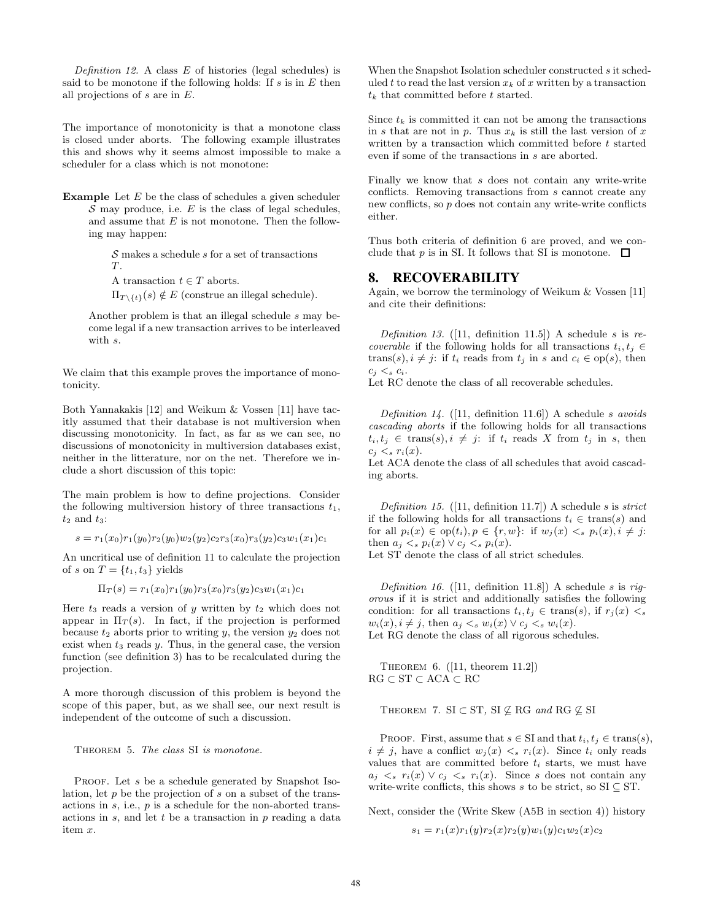Definition 12. A class  $E$  of histories (legal schedules) is said to be monotone if the following holds: If  $s$  is in  $E$  then all projections of s are in E.

The importance of monotonicity is that a monotone class is closed under aborts. The following example illustrates this and shows why it seems almost impossible to make a scheduler for a class which is not monotone:

**Example** Let  $E$  be the class of schedules a given scheduler  $\mathcal S$  may produce, i.e.  $E$  is the class of legal schedules, and assume that  $E$  is not monotone. Then the following may happen:

> $S$  makes a schedule  $s$  for a set of transactions  $T<sub>1</sub>$

A transaction  $t \in T$  aborts.

 $\Pi_{T \setminus \{t\}}(s) \notin E$  (construe an illegal schedule).

Another problem is that an illegal schedule s may become legal if a new transaction arrives to be interleaved with s.

We claim that this example proves the importance of monotonicity.

Both Yannakakis [12] and Weikum & Vossen [11] have tacitly assumed that their database is not multiversion when discussing monotonicity. In fact, as far as we can see, no discussions of monotonicity in multiversion databases exist, neither in the litterature, nor on the net. Therefore we include a short discussion of this topic:

The main problem is how to define projections. Consider the following multiversion history of three transactions  $t_1$ ,  $t_2$  and  $t_3$ :

 $s = r_1(x_0)r_1(y_0)r_2(y_0)w_2(y_2)c_2r_3(x_0)r_3(y_2)c_3w_1(x_1)c_1$ 

An uncritical use of definition 11 to calculate the projection of s on  $T = \{t_1, t_3\}$  yields

$$
\Pi_T(s) = r_1(x_0)r_1(y_0)r_3(x_0)r_3(y_2)c_3w_1(x_1)c_1
$$

Here  $t_3$  reads a version of y written by  $t_2$  which does not appear in  $\Pi_T(s)$ . In fact, if the projection is performed because  $t_2$  aborts prior to writing  $y$ , the version  $y_2$  does not exist when  $t_3$  reads  $y$ . Thus, in the general case, the version function (see definition 3) has to be recalculated during the projection.

A more thorough discussion of this problem is beyond the scope of this paper, but, as we shall see, our next result is independent of the outcome of such a discussion.

THEOREM 5. The class SI is monotone.

PROOF. Let s be a schedule generated by Snapshot Isolation, let  $p$  be the projection of  $s$  on a subset of the transactions in  $s$ , i.e.,  $p$  is a schedule for the non-aborted transactions in  $s$ , and let  $t$  be a transaction in  $p$  reading a data item x.

When the Snapshot Isolation scheduler constructed s it scheduled t to read the last version  $x_k$  of x written by a transaction  $t_k$  that committed before t started.

Since  $t_k$  is committed it can not be among the transactions in s that are not in p. Thus  $x_k$  is still the last version of x written by a transaction which committed before  $t$  started even if some of the transactions in s are aborted.

Finally we know that s does not contain any write-write conflicts. Removing transactions from s cannot create any new conflicts, so p does not contain any write-write conflicts either.

Thus both criteria of definition 6 are proved, and we conclude that p is in SI. It follows that SI is monotone.  $\Box$ 

# 8. RECOVERABILITY

Again, we borrow the terminology of Weikum & Vossen [11] and cite their definitions:

Definition 13. ([11, definition 11.5]) A schedule s is recoverable if the following holds for all transactions  $t_i, t_j \in$ trans(s),  $i \neq j$ : if  $t_i$  reads from  $t_j$  in s and  $c_i \in op(s)$ , then  $c_i <_s c_i$ .

Let RC denote the class of all recoverable schedules.

Definition 14. ([11, definition 11.6]) A schedule s avoids cascading aborts if the following holds for all transactions  $t_i, t_j \in \text{trans}(s), i \neq j:$  if  $t_i$  reads X from  $t_j$  in s, then  $c_i < s r_i(x)$ .

Let ACA denote the class of all schedules that avoid cascading aborts.

Definition 15. ([11, definition 11.7]) A schedule s is strict if the following holds for all transactions  $t_i \in \text{trans}(s)$  and for all  $p_i(x) \in op(t_i), p \in \{r, w\}$ : if  $w_j(x) \leq s \ p_i(x), i \neq j$ : then  $a_j \lt_s p_i(x) \vee c_j \lt_s p_i(x)$ . Let ST denote the class of all strict schedules.

Definition 16. ([11, definition 11.8]) A schedule s is rigorous if it is strict and additionally satisfies the following condition: for all transactions  $t_i, t_j \in \text{trans}(s)$ , if  $r_i(x) < s$  $w_i(x), i \neq j$ , then  $a_i \leq_s w_i(x) \vee c_i \leq_s w_i(x)$ . Let RG denote the class of all rigorous schedules.

Theorem 6. ([11, theorem 11.2])  $RG \subset ST \subset ACA \subset RC$ 

THEOREM 7. SI  $\subset$  ST, SI  $\not\subseteq$  RG and RG  $\not\subseteq$  SI

PROOF. First, assume that  $s \in SI$  and that  $t_i, t_j \in \text{trans}(s)$ ,  $i \neq j$ , have a conflict  $w_j(x) \leq s r_i(x)$ . Since  $t_i$  only reads values that are committed before  $t_i$  starts, we must have  $a_i \leq s$   $r_i(x) \vee c_i \leq s$   $r_i(x)$ . Since s does not contain any write-write conflicts, this shows s to be strict, so  $SI \subseteq ST$ .

Next, consider the (Write Skew (A5B in section 4)) history

 $s_1 = r_1(x)r_1(y)r_2(x)r_2(y)w_1(y)c_1w_2(x)c_2$